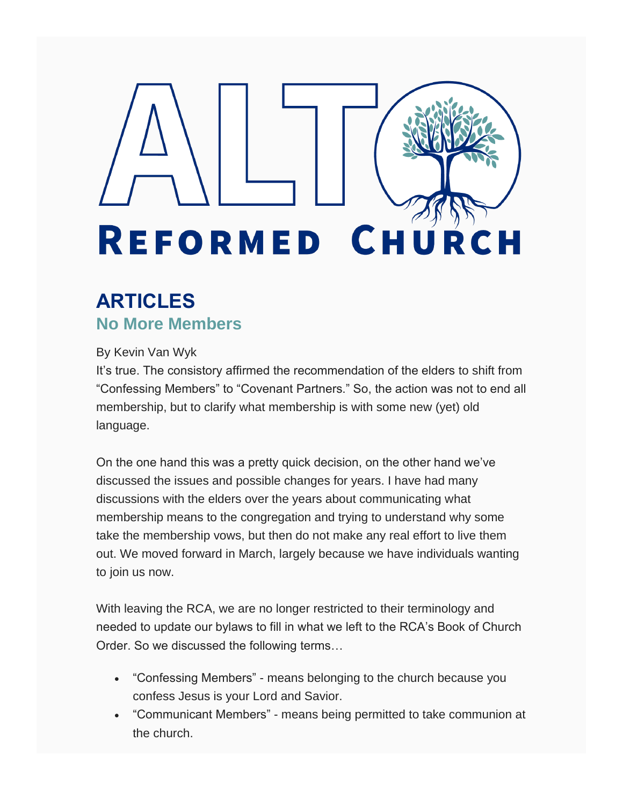# **REFORMED CH** URCH

## **ARTICLES No More Members**

#### By Kevin Van Wyk

It's true. The consistory affirmed the recommendation of the elders to shift from "Confessing Members" to "Covenant Partners." So, the action was not to end all membership, but to clarify what membership is with some new (yet) old language.

On the one hand this was a pretty quick decision, on the other hand we've discussed the issues and possible changes for years. I have had many discussions with the elders over the years about communicating what membership means to the congregation and trying to understand why some take the membership vows, but then do not make any real effort to live them out. We moved forward in March, largely because we have individuals wanting to join us now.

With leaving the RCA, we are no longer restricted to their terminology and needed to update our bylaws to fill in what we left to the RCA's Book of Church Order. So we discussed the following terms…

- "Confessing Members" means belonging to the church because you confess Jesus is your Lord and Savior.
- "Communicant Members" means being permitted to take communion at the church.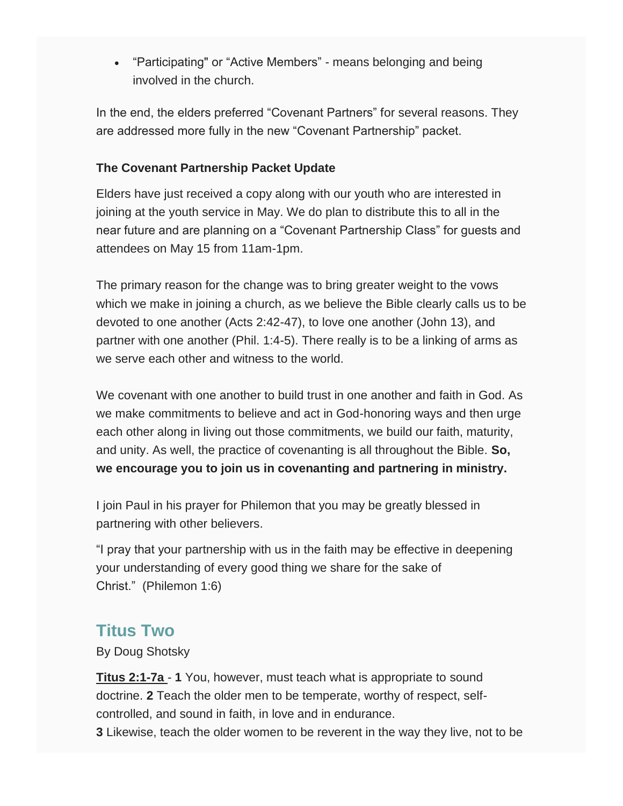• "Participating" or "Active Members" - means belonging and being involved in the church.

In the end, the elders preferred "Covenant Partners" for several reasons. They are addressed more fully in the new "Covenant Partnership" packet.

#### **The Covenant Partnership Packet Update**

Elders have just received a copy along with our youth who are interested in joining at the youth service in May. We do plan to distribute this to all in the near future and are planning on a "Covenant Partnership Class" for guests and attendees on May 15 from 11am-1pm.

The primary reason for the change was to bring greater weight to the vows which we make in joining a church, as we believe the Bible clearly calls us to be devoted to one another (Acts 2:42-47), to love one another (John 13), and partner with one another (Phil. 1:4-5). There really is to be a linking of arms as we serve each other and witness to the world.

We covenant with one another to build trust in one another and faith in God. As we make commitments to believe and act in God-honoring ways and then urge each other along in living out those commitments, we build our faith, maturity, and unity. As well, the practice of covenanting is all throughout the Bible. **So, we encourage you to join us in covenanting and partnering in ministry.**

I join Paul in his prayer for Philemon that you may be greatly blessed in partnering with other believers.

"I pray that your partnership with us in the faith may be effective in deepening your understanding of every good thing we share for the sake of Christ." (Philemon 1:6)

#### **Titus Two**

By Doug Shotsky

**Titus 2:1-7a** - **1** You, however, must teach what is appropriate to sound doctrine. **2** Teach the older men to be temperate, worthy of respect, selfcontrolled, and sound in faith, in love and in endurance.

**3** Likewise, teach the older women to be reverent in the way they live, not to be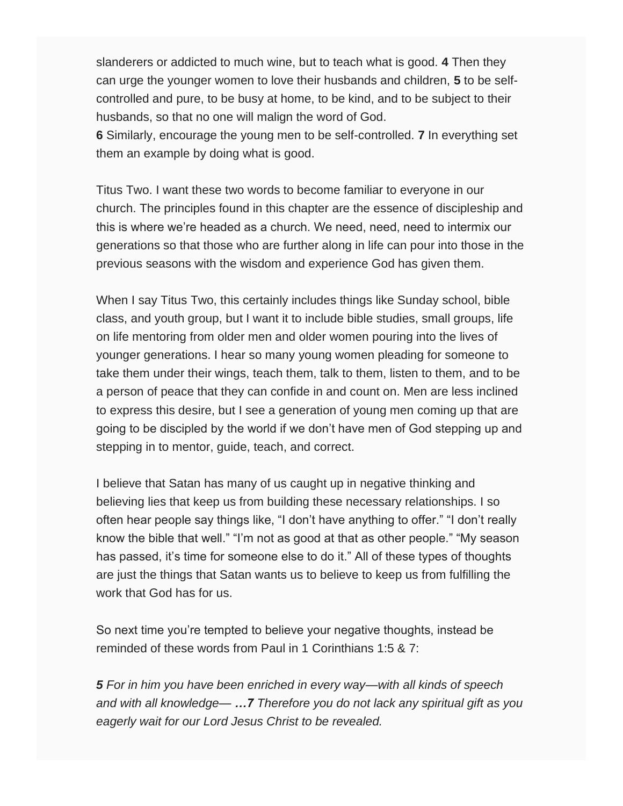slanderers or addicted to much wine, but to teach what is good. **4** Then they can urge the younger women to love their husbands and children, **5** to be selfcontrolled and pure, to be busy at home, to be kind, and to be subject to their husbands, so that no one will malign the word of God.

**6** Similarly, encourage the young men to be self-controlled. **7** In everything set them an example by doing what is good.

Titus Two. I want these two words to become familiar to everyone in our church. The principles found in this chapter are the essence of discipleship and this is where we're headed as a church. We need, need, need to intermix our generations so that those who are further along in life can pour into those in the previous seasons with the wisdom and experience God has given them.

When I say Titus Two, this certainly includes things like Sunday school, bible class, and youth group, but I want it to include bible studies, small groups, life on life mentoring from older men and older women pouring into the lives of younger generations. I hear so many young women pleading for someone to take them under their wings, teach them, talk to them, listen to them, and to be a person of peace that they can confide in and count on. Men are less inclined to express this desire, but I see a generation of young men coming up that are going to be discipled by the world if we don't have men of God stepping up and stepping in to mentor, guide, teach, and correct.

I believe that Satan has many of us caught up in negative thinking and believing lies that keep us from building these necessary relationships. I so often hear people say things like, "I don't have anything to offer." "I don't really know the bible that well." "I'm not as good at that as other people." "My season has passed, it's time for someone else to do it." All of these types of thoughts are just the things that Satan wants us to believe to keep us from fulfilling the work that God has for us.

So next time you're tempted to believe your negative thoughts, instead be reminded of these words from Paul in 1 Corinthians 1:5 & 7:

*5 For in him you have been enriched in every way—with all kinds of speech and with all knowledge— …7 Therefore you do not lack any spiritual gift as you eagerly wait for our Lord Jesus Christ to be revealed.*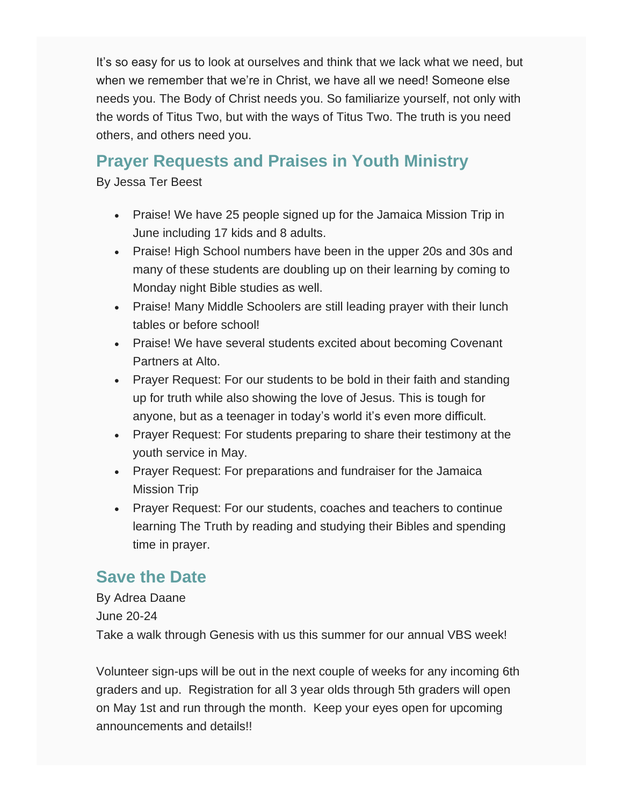It's so easy for us to look at ourselves and think that we lack what we need, but when we remember that we're in Christ, we have all we need! Someone else needs you. The Body of Christ needs you. So familiarize yourself, not only with the words of Titus Two, but with the ways of Titus Two. The truth is you need others, and others need you.

## **Prayer Requests and Praises in Youth Ministry**

By Jessa Ter Beest

- Praise! We have 25 people signed up for the Jamaica Mission Trip in June including 17 kids and 8 adults.
- Praise! High School numbers have been in the upper 20s and 30s and many of these students are doubling up on their learning by coming to Monday night Bible studies as well.
- Praise! Many Middle Schoolers are still leading prayer with their lunch tables or before school!
- Praise! We have several students excited about becoming Covenant Partners at Alto.
- Prayer Request: For our students to be bold in their faith and standing up for truth while also showing the love of Jesus. This is tough for anyone, but as a teenager in today's world it's even more difficult.
- Prayer Request: For students preparing to share their testimony at the youth service in May.
- Prayer Request: For preparations and fundraiser for the Jamaica Mission Trip
- Prayer Request: For our students, coaches and teachers to continue learning The Truth by reading and studying their Bibles and spending time in prayer.

## **Save the Date**

By Adrea Daane June 20-24 Take a walk through Genesis with us this summer for our annual VBS week!

Volunteer sign-ups will be out in the next couple of weeks for any incoming 6th graders and up. Registration for all 3 year olds through 5th graders will open on May 1st and run through the month. Keep your eyes open for upcoming announcements and details!!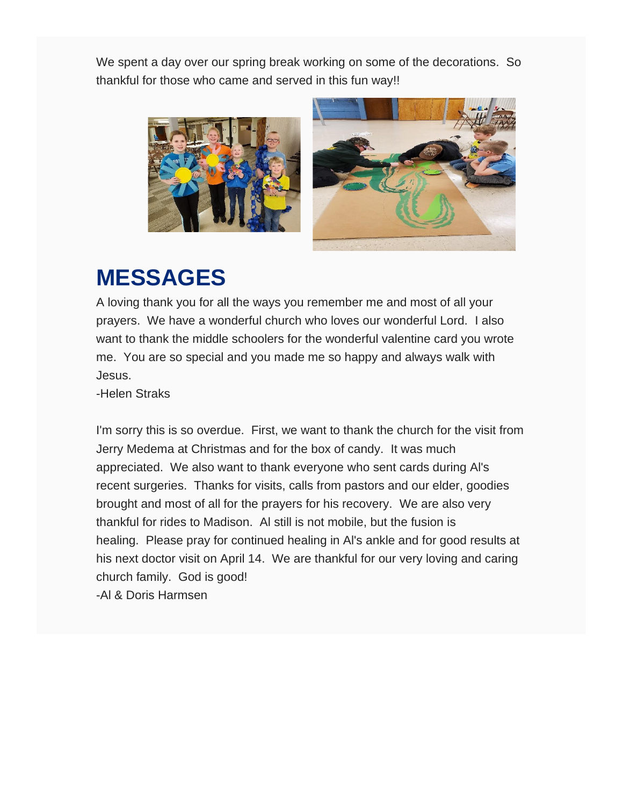We spent a day over our spring break working on some of the decorations. So thankful for those who came and served in this fun way!!





# **MESSAGES**

A loving thank you for all the ways you remember me and most of all your prayers. We have a wonderful church who loves our wonderful Lord. I also want to thank the middle schoolers for the wonderful valentine card you wrote me. You are so special and you made me so happy and always walk with Jesus.

-Helen Straks

I'm sorry this is so overdue. First, we want to thank the church for the visit from Jerry Medema at Christmas and for the box of candy. It was much appreciated. We also want to thank everyone who sent cards during Al's recent surgeries. Thanks for visits, calls from pastors and our elder, goodies brought and most of all for the prayers for his recovery. We are also very thankful for rides to Madison. Al still is not mobile, but the fusion is healing. Please pray for continued healing in Al's ankle and for good results at his next doctor visit on April 14. We are thankful for our very loving and caring church family. God is good!

-Al & Doris Harmsen